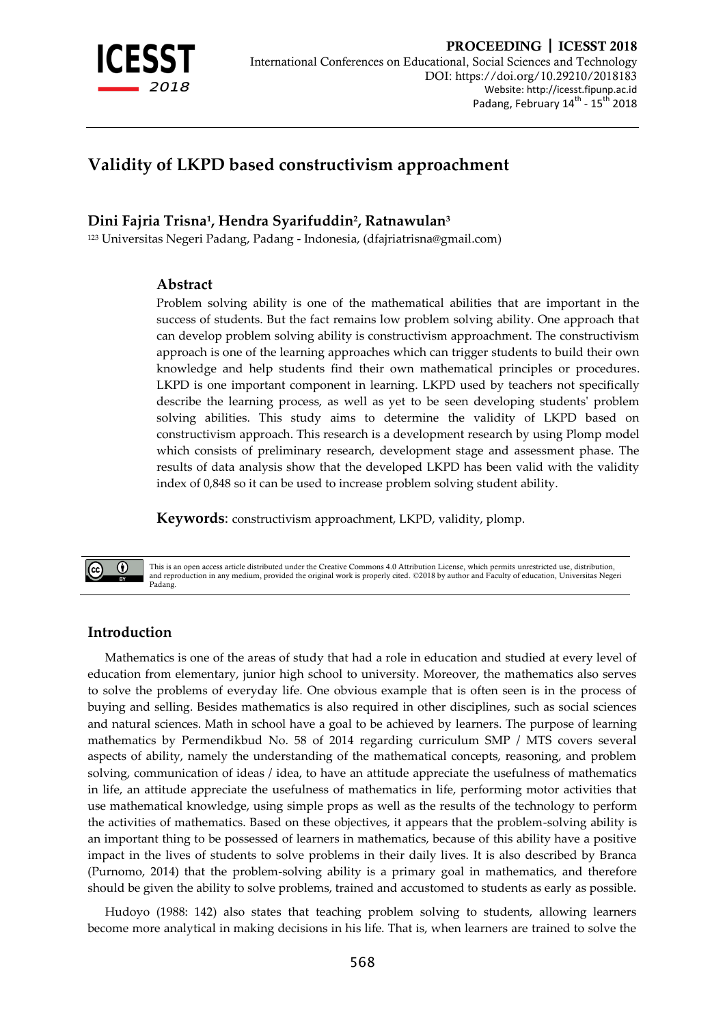

# **Validity of LKPD based constructivism approachment**

## **Dini Fajria Trisna<sup>1</sup> , Hendra Syarifuddin<sup>2</sup> , Ratnawulan<sup>3</sup>**

<sup>123</sup> Universitas Negeri Padang, Padang - Indonesia, [\(dfajriatrisna@gmail.com\)](mailto:dfajriatrisna@gmail.com)

### **Abstract**

Problem solving ability is one of the mathematical abilities that are important in the success of students. But the fact remains low problem solving ability. One approach that can develop problem solving ability is constructivism approachment. The constructivism approach is one of the learning approaches which can trigger students to build their own knowledge and help students find their own mathematical principles or procedures. LKPD is one important component in learning. LKPD used by teachers not specifically describe the learning process, as well as yet to be seen developing students' problem solving abilities. This study aims to determine the validity of LKPD based on constructivism approach. This research is a development research by using Plomp model which consists of preliminary research, development stage and assessment phase. The results of data analysis show that the developed LKPD has been valid with the validity index of 0,848 so it can be used to increase problem solving student ability.

**Keywords**: constructivism approachment, LKPD, validity, plomp.

This is an open access article distributed under the Creative Commons 4.0 Attribution License, which permits unrestricted use, distribution, and reproduction in any medium, provided the original work is properly cited. ©2018 by author and Faculty of education, Universitas Negeri Padang.

### **Introduction**

 $\bigcirc$ 

Mathematics is one of the areas of study that had a role in education and studied at every level of education from elementary, junior high school to university. Moreover, the mathematics also serves to solve the problems of everyday life. One obvious example that is often seen is in the process of buying and selling. Besides mathematics is also required in other disciplines, such as social sciences and natural sciences. Math in school have a goal to be achieved by learners. The purpose of learning mathematics by Permendikbud No. 58 of 2014 regarding curriculum SMP / MTS covers several aspects of ability, namely the understanding of the mathematical concepts, reasoning, and problem solving, communication of ideas / idea, to have an attitude appreciate the usefulness of mathematics in life, an attitude appreciate the usefulness of mathematics in life, performing motor activities that use mathematical knowledge, using simple props as well as the results of the technology to perform the activities of mathematics. Based on these objectives, it appears that the problem-solving ability is an important thing to be possessed of learners in mathematics, because of this ability have a positive impact in the lives of students to solve problems in their daily lives. It is also described by Branca (Purnomo, 2014) that the problem-solving ability is a primary goal in mathematics, and therefore should be given the ability to solve problems, trained and accustomed to students as early as possible.

Hudoyo (1988: 142) also states that teaching problem solving to students, allowing learners become more analytical in making decisions in his life. That is, when learners are trained to solve the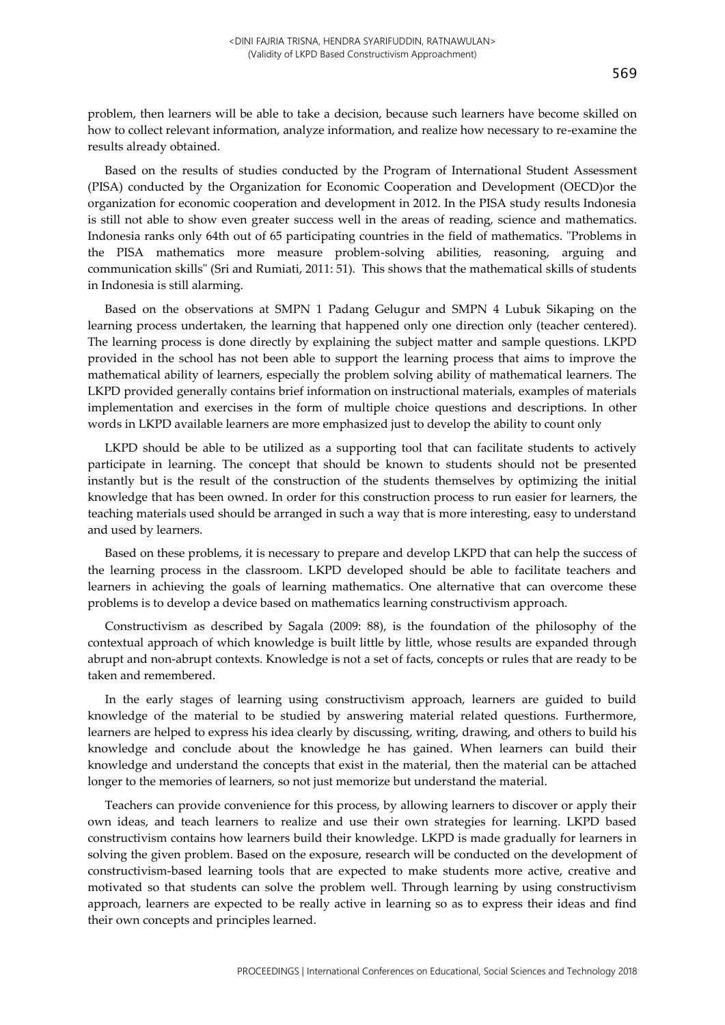Based on the results of studies conducted by the Program of International Student Assessment (PISA) conducted by the Organization for Economic Cooperation and Development (OECD)or the organization for economic cooperation and development in 2012. In the PISA study results Indonesia is still not able to show even greater success well in the areas of reading, science and mathematics. Indonesia ranks only 64th out of 65 participating countries in the field of mathematics. "Problems in the PISA mathematics more measure problem-solving abilities, reasoning, arguing and communication skills" (Sri and Rumiati, 2011: 51). This shows that the mathematical skills of students in Indonesia is still alarming.

Based on the observations at SMPN 1 Padang Gelugur and SMPN 4 Lubuk Sikaping on the learning process undertaken, the learning that happened only one direction only (teacher centered). The learning process is done directly by explaining the subject matter and sample questions. LKPD provided in the school has not been able to support the learning process that aims to improve the mathematical ability of learners, especially the problem solving ability of mathematical learners. The LKPD provided generally contains brief information on instructional materials, examples of materials implementation and exercises in the form of multiple choice questions and descriptions. In other words in LKPD available learners are more emphasized just to develop the ability to count only

LKPD should be able to be utilized as a supporting tool that can facilitate students to actively participate in learning. The concept that should be known to students should not be presented instantly but is the result of the construction of the students themselves by optimizing the initial knowledge that has been owned. In order for this construction process to run easier for learners, the teaching materials used should be arranged in such a way that is more interesting, easy to understand and used by learners.

Based on these problems, it is necessary to prepare and develop LKPD that can help the success of the learning process in the classroom. LKPD developed should be able to facilitate teachers and learners in achieving the goals of learning mathematics. One alternative that can overcome these problems is to develop a device based on mathematics learning constructivism approach.

Constructivism as described by Sagala (2009: 88), is the foundation of the philosophy of the contextual approach of which knowledge is built little by little, whose results are expanded through abrupt and non-abrupt contexts. Knowledge is not a set of facts, concepts or rules that are ready to be taken and remembered.

In the early stages of learning using constructivism approach, learners are guided to build knowledge of the material to be studied by answering material related questions. Furthermore, learners are helped to express his idea clearly by discussing, writing, drawing, and others to build his knowledge and conclude about the knowledge he has gained. When learners can build their knowledge and understand the concepts that exist in the material, then the material can be attached longer to the memories of learners, so not just memorize but understand the material.

Teachers can provide convenience for this process, by allowing learners to discover or apply their own ideas, and teach learners to realize and use their own strategies for learning. LKPD based constructivism contains how learners build their knowledge. LKPD is made gradually for learners in solving the given problem. Based on the exposure, research will be conducted on the development of constructivism-based learning tools that are expected to make students more active, creative and motivated so that students can solve the problem well. Through learning by using constructivism approach, learners are expected to be really active in learning so as to express their ideas and find their own concepts and principles learned.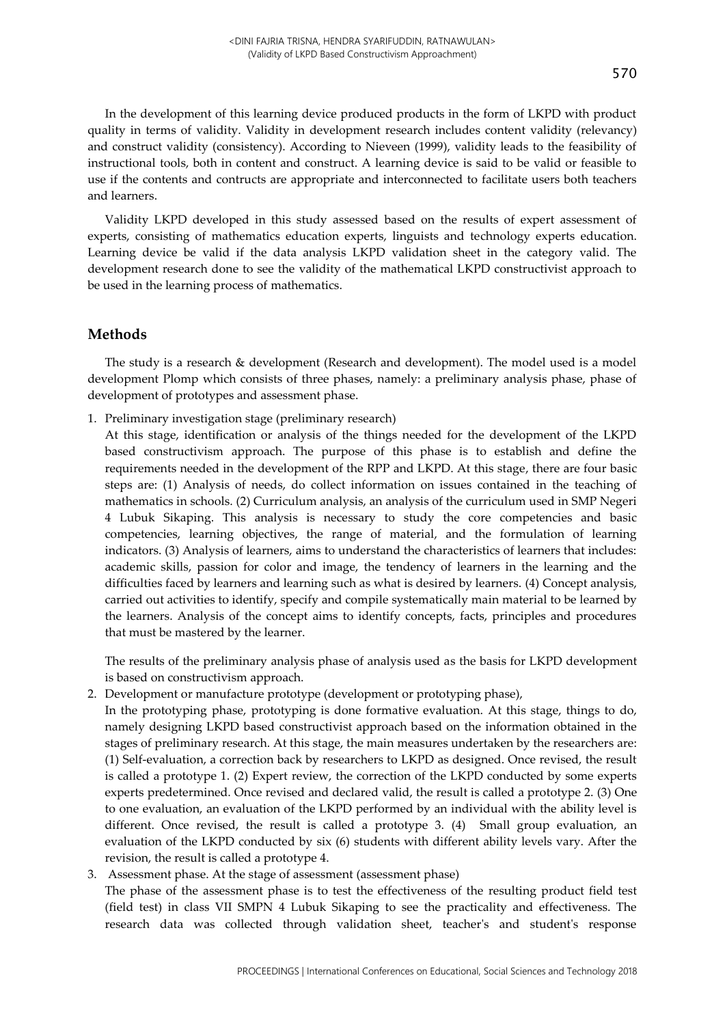In the development of this learning device produced products in the form of LKPD with product quality in terms of validity. Validity in development research includes content validity (relevancy) and construct validity (consistency). According to Nieveen (1999), validity leads to the feasibility of instructional tools, both in content and construct. A learning device is said to be valid or feasible to use if the contents and contructs are appropriate and interconnected to facilitate users both teachers and learners.

Validity LKPD developed in this study assessed based on the results of expert assessment of experts, consisting of mathematics education experts, linguists and technology experts education. Learning device be valid if the data analysis LKPD validation sheet in the category valid. The development research done to see the validity of the mathematical LKPD constructivist approach to be used in the learning process of mathematics.

### **Methods**

The study is a research & development (Research and development). The model used is a model development Plomp which consists of three phases, namely: a preliminary analysis phase, phase of development of prototypes and assessment phase.

1. Preliminary investigation stage (preliminary research)

At this stage, identification or analysis of the things needed for the development of the LKPD based constructivism approach. The purpose of this phase is to establish and define the requirements needed in the development of the RPP and LKPD. At this stage, there are four basic steps are: (1) Analysis of needs, do collect information on issues contained in the teaching of mathematics in schools. (2) Curriculum analysis, an analysis of the curriculum used in SMP Negeri 4 Lubuk Sikaping. This analysis is necessary to study the core competencies and basic competencies, learning objectives, the range of material, and the formulation of learning indicators. (3) Analysis of learners, aims to understand the characteristics of learners that includes: academic skills, passion for color and image, the tendency of learners in the learning and the difficulties faced by learners and learning such as what is desired by learners. (4) Concept analysis, carried out activities to identify, specify and compile systematically main material to be learned by the learners. Analysis of the concept aims to identify concepts, facts, principles and procedures that must be mastered by the learner.

The results of the preliminary analysis phase of analysis used as the basis for LKPD development is based on constructivism approach.

2. Development or manufacture prototype (development or prototyping phase),

In the prototyping phase, prototyping is done formative evaluation. At this stage, things to do, namely designing LKPD based constructivist approach based on the information obtained in the stages of preliminary research. At this stage, the main measures undertaken by the researchers are: (1) Self-evaluation, a correction back by researchers to LKPD as designed. Once revised, the result is called a prototype 1. (2) Expert review, the correction of the LKPD conducted by some experts experts predetermined. Once revised and declared valid, the result is called a prototype 2. (3) One to one evaluation, an evaluation of the LKPD performed by an individual with the ability level is different. Once revised, the result is called a prototype 3. (4) Small group evaluation, an evaluation of the LKPD conducted by six (6) students with different ability levels vary. After the revision, the result is called a prototype 4.

### 3. Assessment phase. At the stage of assessment (assessment phase)

The phase of the assessment phase is to test the effectiveness of the resulting product field test (field test) in class VII SMPN 4 Lubuk Sikaping to see the practicality and effectiveness. The research data was collected through validation sheet, teacher's and student's response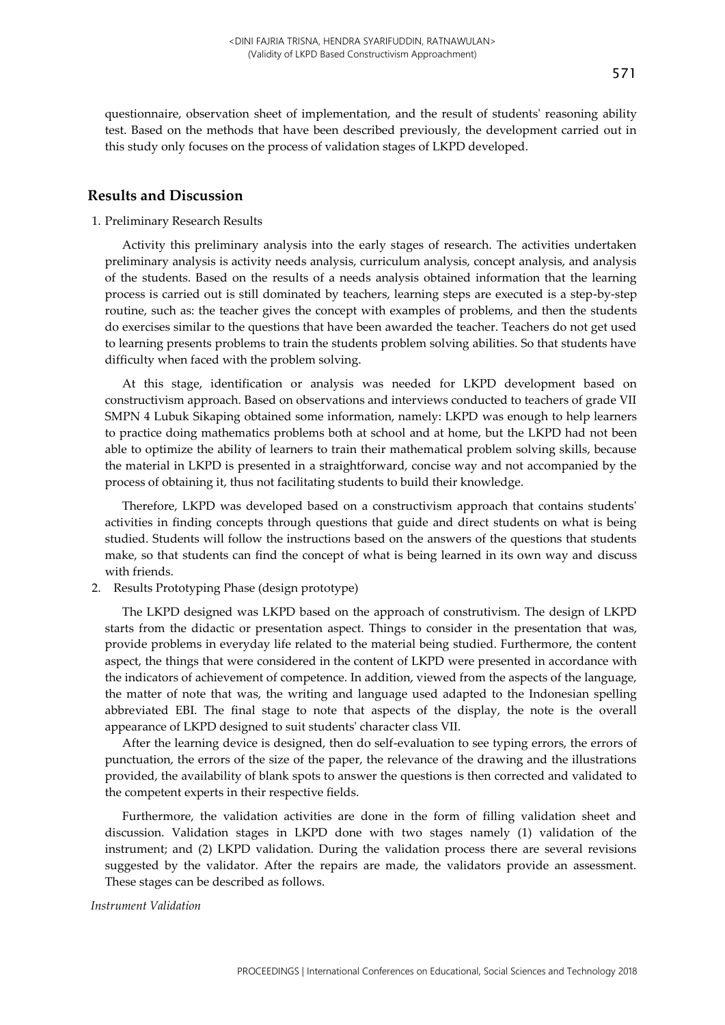questionnaire, observation sheet of implementation, and the result of students' reasoning ability test. Based on the methods that have been described previously, the development carried out in this study only focuses on the process of validation stages of LKPD developed.

### **Results and Discussion**

#### 1. Preliminary Research Results

Activity this preliminary analysis into the early stages of research. The activities undertaken preliminary analysis is activity needs analysis, curriculum analysis, concept analysis, and analysis of the students. Based on the results of a needs analysis obtained information that the learning process is carried out is still dominated by teachers, learning steps are executed is a step-by-step routine, such as: the teacher gives the concept with examples of problems, and then the students do exercises similar to the questions that have been awarded the teacher. Teachers do not get used to learning presents problems to train the students problem solving abilities. So that students have difficulty when faced with the problem solving.

At this stage, identification or analysis was needed for LKPD development based on constructivism approach. Based on observations and interviews conducted to teachers of grade VII SMPN 4 Lubuk Sikaping obtained some information, namely: LKPD was enough to help learners to practice doing mathematics problems both at school and at home, but the LKPD had not been able to optimize the ability of learners to train their mathematical problem solving skills, because the material in LKPD is presented in a straightforward, concise way and not accompanied by the process of obtaining it, thus not facilitating students to build their knowledge.

Therefore, LKPD was developed based on a constructivism approach that contains students' activities in finding concepts through questions that guide and direct students on what is being studied. Students will follow the instructions based on the answers of the questions that students make, so that students can find the concept of what is being learned in its own way and discuss with friends.

2. Results Prototyping Phase (design prototype)

The LKPD designed was LKPD based on the approach of construtivism. The design of LKPD starts from the didactic or presentation aspect. Things to consider in the presentation that was, provide problems in everyday life related to the material being studied. Furthermore, the content aspect, the things that were considered in the content of LKPD were presented in accordance with the indicators of achievement of competence. In addition, viewed from the aspects of the language, the matter of note that was, the writing and language used adapted to the Indonesian spelling abbreviated EBI. The final stage to note that aspects of the display, the note is the overall appearance of LKPD designed to suit students' character class VII.

After the learning device is designed, then do self-evaluation to see typing errors, the errors of punctuation, the errors of the size of the paper, the relevance of the drawing and the illustrations provided, the availability of blank spots to answer the questions is then corrected and validated to the competent experts in their respective fields.

Furthermore, the validation activities are done in the form of filling validation sheet and discussion. Validation stages in LKPD done with two stages namely (1) validation of the instrument; and (2) LKPD validation. During the validation process there are several revisions suggested by the validator. After the repairs are made, the validators provide an assessment. These stages can be described as follows.

#### *Instrument Validation*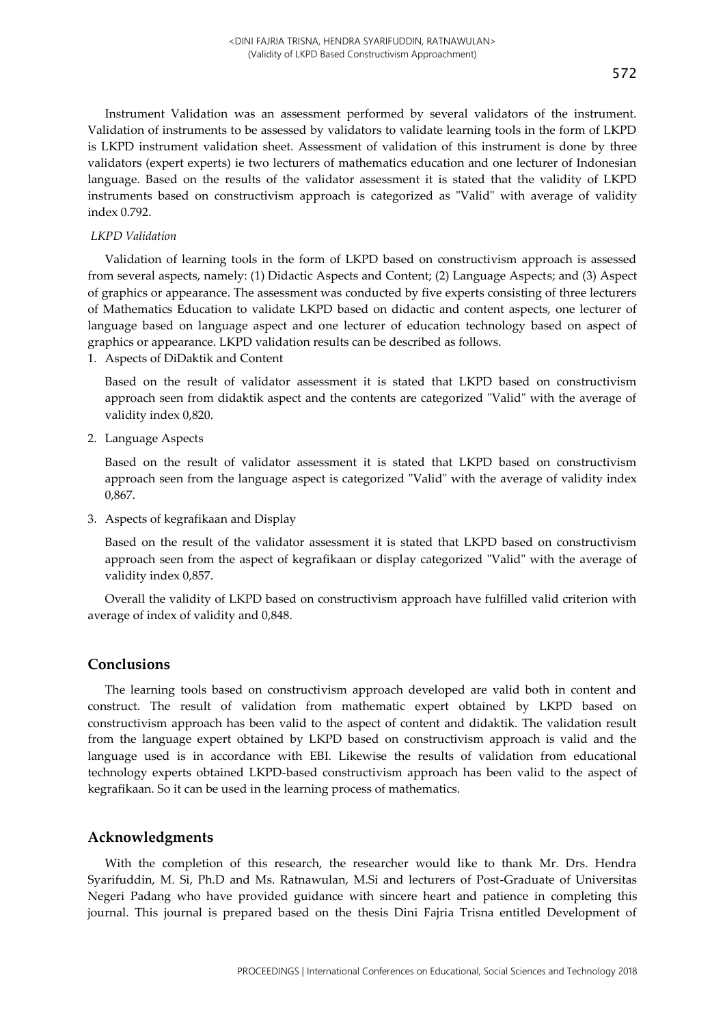Instrument Validation was an assessment performed by several validators of the instrument. Validation of instruments to be assessed by validators to validate learning tools in the form of LKPD is LKPD instrument validation sheet. Assessment of validation of this instrument is done by three validators (expert experts) ie two lecturers of mathematics education and one lecturer of Indonesian language. Based on the results of the validator assessment it is stated that the validity of LKPD instruments based on constructivism approach is categorized as "Valid" with average of validity index 0.792.

#### *LKPD Validation*

Validation of learning tools in the form of LKPD based on constructivism approach is assessed from several aspects, namely: (1) Didactic Aspects and Content; (2) Language Aspects; and (3) Aspect of graphics or appearance. The assessment was conducted by five experts consisting of three lecturers of Mathematics Education to validate LKPD based on didactic and content aspects, one lecturer of language based on language aspect and one lecturer of education technology based on aspect of graphics or appearance. LKPD validation results can be described as follows.

1. Aspects of DiDaktik and Content

Based on the result of validator assessment it is stated that LKPD based on constructivism approach seen from didaktik aspect and the contents are categorized "Valid" with the average of validity index 0,820.

2. Language Aspects

Based on the result of validator assessment it is stated that LKPD based on constructivism approach seen from the language aspect is categorized "Valid" with the average of validity index 0,867.

3. Aspects of kegrafikaan and Display

Based on the result of the validator assessment it is stated that LKPD based on constructivism approach seen from the aspect of kegrafikaan or display categorized "Valid" with the average of validity index 0,857.

Overall the validity of LKPD based on constructivism approach have fulfilled valid criterion with average of index of validity and 0,848.

### **Conclusions**

The learning tools based on constructivism approach developed are valid both in content and construct. The result of validation from mathematic expert obtained by LKPD based on constructivism approach has been valid to the aspect of content and didaktik. The validation result from the language expert obtained by LKPD based on constructivism approach is valid and the language used is in accordance with EBI. Likewise the results of validation from educational technology experts obtained LKPD-based constructivism approach has been valid to the aspect of kegrafikaan. So it can be used in the learning process of mathematics.

#### **Acknowledgments**

With the completion of this research, the researcher would like to thank Mr. Drs. Hendra Syarifuddin, M. Si, Ph.D and Ms. Ratnawulan, M.Si and lecturers of Post-Graduate of Universitas Negeri Padang who have provided guidance with sincere heart and patience in completing this journal. This journal is prepared based on the thesis Dini Fajria Trisna entitled Development of